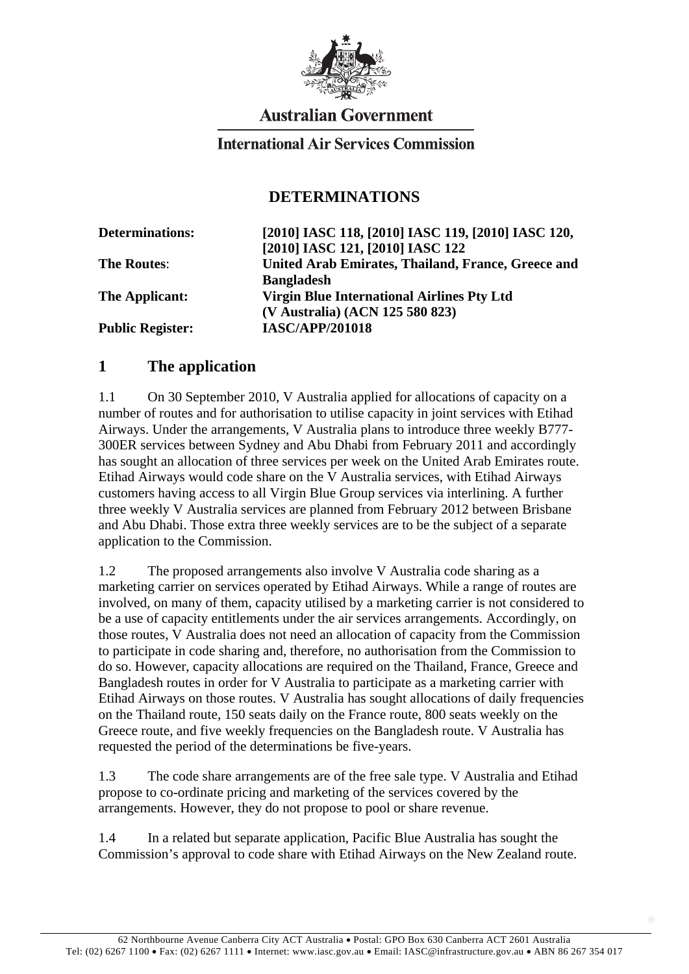

# **Australian Government**

#### **International Air Services Commission**

#### **DETERMINATIONS**

| [2010] IASC 118, [2010] IASC 119, [2010] IASC 120, |
|----------------------------------------------------|
| [2010] IASC 121, [2010] IASC 122                   |
| United Arab Emirates, Thailand, France, Greece and |
| <b>Bangladesh</b>                                  |
| <b>Virgin Blue International Airlines Pty Ltd</b>  |
| (V Australia) (ACN 125 580 823)                    |
| <b>IASC/APP/201018</b>                             |
|                                                    |

### **1 The application**

1.1 On 30 September 2010, V Australia applied for allocations of capacity on a number of routes and for authorisation to utilise capacity in joint services with Etihad Airways. Under the arrangements, V Australia plans to introduce three weekly B777- 300ER services between Sydney and Abu Dhabi from February 2011 and accordingly has sought an allocation of three services per week on the United Arab Emirates route. Etihad Airways would code share on the V Australia services, with Etihad Airways customers having access to all Virgin Blue Group services via interlining. A further three weekly V Australia services are planned from February 2012 between Brisbane and Abu Dhabi. Those extra three weekly services are to be the subject of a separate application to the Commission.

1.2 The proposed arrangements also involve V Australia code sharing as a marketing carrier on services operated by Etihad Airways. While a range of routes are involved, on many of them, capacity utilised by a marketing carrier is not considered to be a use of capacity entitlements under the air services arrangements. Accordingly, on those routes, V Australia does not need an allocation of capacity from the Commission to participate in code sharing and, therefore, no authorisation from the Commission to do so. However, capacity allocations are required on the Thailand, France, Greece and Bangladesh routes in order for V Australia to participate as a marketing carrier with Etihad Airways on those routes. V Australia has sought allocations of daily frequencies on the Thailand route, 150 seats daily on the France route, 800 seats weekly on the Greece route, and five weekly frequencies on the Bangladesh route. V Australia has requested the period of the determinations be five-years.

1.3 The code share arrangements are of the free sale type. V Australia and Etihad propose to co-ordinate pricing and marketing of the services covered by the arrangements. However, they do not propose to pool or share revenue.

1.4 In a related but separate application, Pacific Blue Australia has sought the Commission's approval to code share with Etihad Airways on the New Zealand route.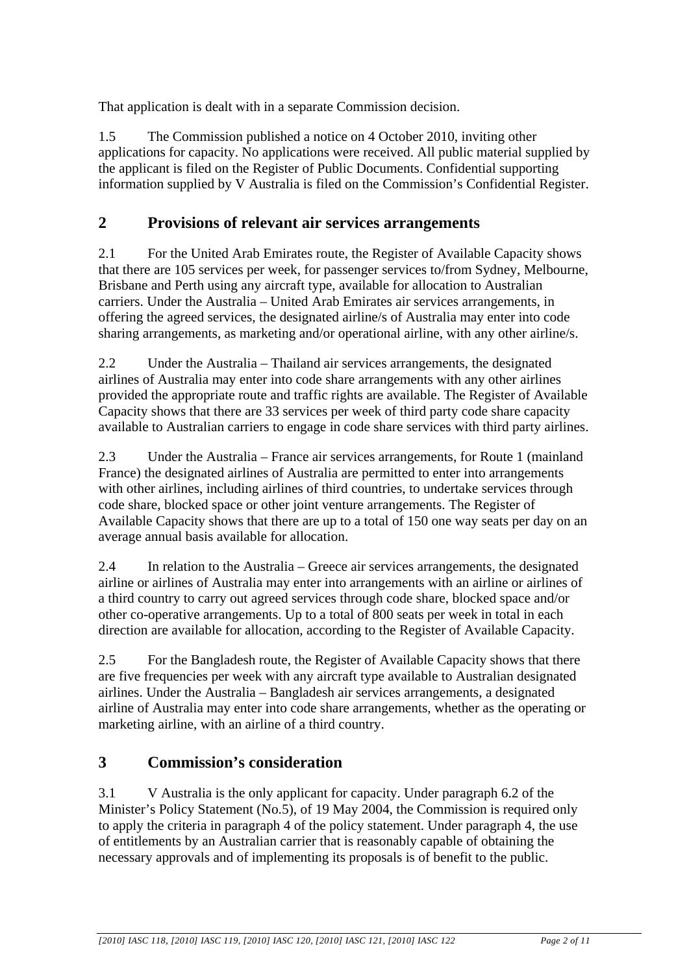That application is dealt with in a separate Commission decision.

1.5 The Commission published a notice on 4 October 2010, inviting other applications for capacity. No applications were received. All public material supplied by the applicant is filed on the Register of Public Documents. Confidential supporting information supplied by V Australia is filed on the Commission's Confidential Register.

## **2 Provisions of relevant air services arrangements**

2.1 For the United Arab Emirates route, the Register of Available Capacity shows that there are 105 services per week, for passenger services to/from Sydney, Melbourne, Brisbane and Perth using any aircraft type, available for allocation to Australian carriers. Under the Australia – United Arab Emirates air services arrangements, in offering the agreed services, the designated airline/s of Australia may enter into code sharing arrangements, as marketing and/or operational airline, with any other airline/s.

2.2 Under the Australia – Thailand air services arrangements, the designated airlines of Australia may enter into code share arrangements with any other airlines provided the appropriate route and traffic rights are available. The Register of Available Capacity shows that there are 33 services per week of third party code share capacity available to Australian carriers to engage in code share services with third party airlines.

2.3 Under the Australia – France air services arrangements, for Route 1 (mainland France) the designated airlines of Australia are permitted to enter into arrangements with other airlines, including airlines of third countries, to undertake services through code share, blocked space or other joint venture arrangements. The Register of Available Capacity shows that there are up to a total of 150 one way seats per day on an average annual basis available for allocation.

2.4 In relation to the Australia – Greece air services arrangements, the designated airline or airlines of Australia may enter into arrangements with an airline or airlines of a third country to carry out agreed services through code share, blocked space and/or other co-operative arrangements. Up to a total of 800 seats per week in total in each direction are available for allocation, according to the Register of Available Capacity.

2.5 For the Bangladesh route, the Register of Available Capacity shows that there are five frequencies per week with any aircraft type available to Australian designated airlines. Under the Australia – Bangladesh air services arrangements, a designated airline of Australia may enter into code share arrangements, whether as the operating or marketing airline, with an airline of a third country.

## **3 Commission's consideration**

3.1 V Australia is the only applicant for capacity. Under paragraph 6.2 of the Minister's Policy Statement (No.5), of 19 May 2004, the Commission is required only to apply the criteria in paragraph 4 of the policy statement. Under paragraph 4, the use of entitlements by an Australian carrier that is reasonably capable of obtaining the necessary approvals and of implementing its proposals is of benefit to the public.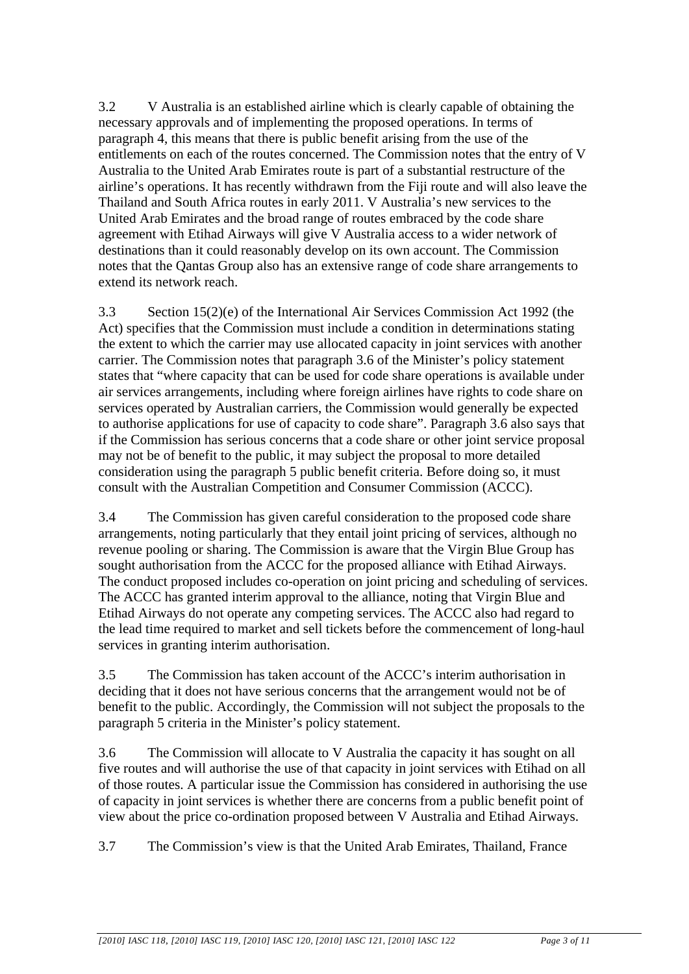3.2 V Australia is an established airline which is clearly capable of obtaining the necessary approvals and of implementing the proposed operations. In terms of paragraph 4, this means that there is public benefit arising from the use of the entitlements on each of the routes concerned. The Commission notes that the entry of V Australia to the United Arab Emirates route is part of a substantial restructure of the airline's operations. It has recently withdrawn from the Fiji route and will also leave the Thailand and South Africa routes in early 2011. V Australia's new services to the United Arab Emirates and the broad range of routes embraced by the code share agreement with Etihad Airways will give V Australia access to a wider network of destinations than it could reasonably develop on its own account. The Commission notes that the Qantas Group also has an extensive range of code share arrangements to extend its network reach.

3.3 Section 15(2)(e) of the International Air Services Commission Act 1992 (the Act) specifies that the Commission must include a condition in determinations stating the extent to which the carrier may use allocated capacity in joint services with another carrier. The Commission notes that paragraph 3.6 of the Minister's policy statement states that "where capacity that can be used for code share operations is available under air services arrangements, including where foreign airlines have rights to code share on services operated by Australian carriers, the Commission would generally be expected to authorise applications for use of capacity to code share". Paragraph 3.6 also says that if the Commission has serious concerns that a code share or other joint service proposal may not be of benefit to the public, it may subject the proposal to more detailed consideration using the paragraph 5 public benefit criteria. Before doing so, it must consult with the Australian Competition and Consumer Commission (ACCC).

3.4 The Commission has given careful consideration to the proposed code share arrangements, noting particularly that they entail joint pricing of services, although no revenue pooling or sharing. The Commission is aware that the Virgin Blue Group has sought authorisation from the ACCC for the proposed alliance with Etihad Airways. The conduct proposed includes co-operation on joint pricing and scheduling of services. The ACCC has granted interim approval to the alliance, noting that Virgin Blue and Etihad Airways do not operate any competing services. The ACCC also had regard to the lead time required to market and sell tickets before the commencement of long-haul services in granting interim authorisation.

3.5 The Commission has taken account of the ACCC's interim authorisation in deciding that it does not have serious concerns that the arrangement would not be of benefit to the public. Accordingly, the Commission will not subject the proposals to the paragraph 5 criteria in the Minister's policy statement.

3.6 The Commission will allocate to V Australia the capacity it has sought on all five routes and will authorise the use of that capacity in joint services with Etihad on all of those routes. A particular issue the Commission has considered in authorising the use of capacity in joint services is whether there are concerns from a public benefit point of view about the price co-ordination proposed between V Australia and Etihad Airways.

3.7 The Commission's view is that the United Arab Emirates, Thailand, France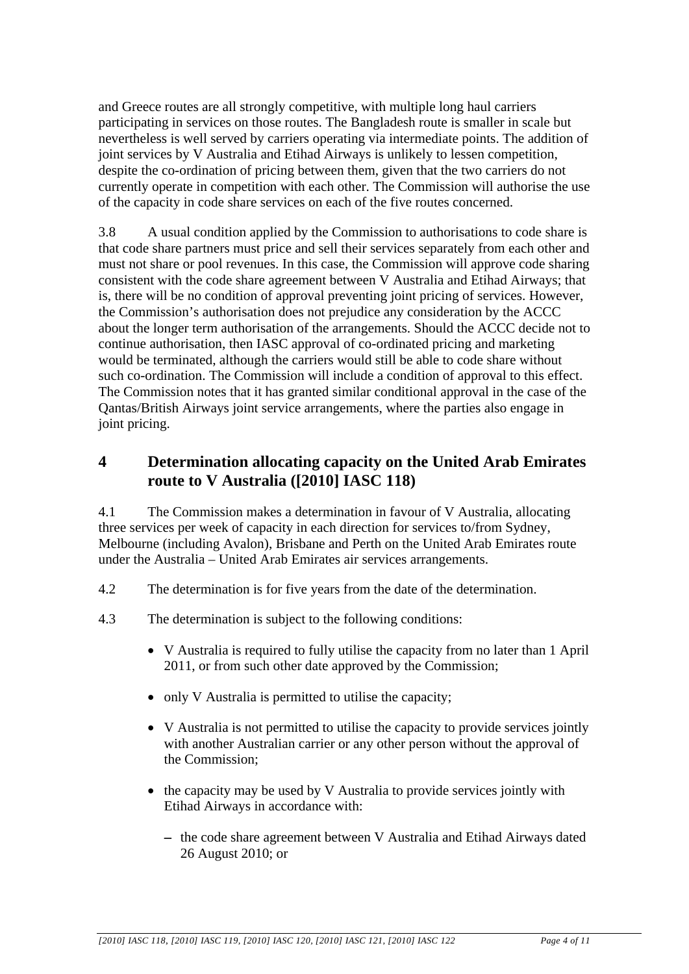and Greece routes are all strongly competitive, with multiple long haul carriers participating in services on those routes. The Bangladesh route is smaller in scale but nevertheless is well served by carriers operating via intermediate points. The addition of joint services by V Australia and Etihad Airways is unlikely to lessen competition, despite the co-ordination of pricing between them, given that the two carriers do not currently operate in competition with each other. The Commission will authorise the use of the capacity in code share services on each of the five routes concerned.

3.8 A usual condition applied by the Commission to authorisations to code share is that code share partners must price and sell their services separately from each other and must not share or pool revenues. In this case, the Commission will approve code sharing consistent with the code share agreement between V Australia and Etihad Airways; that is, there will be no condition of approval preventing joint pricing of services. However, the Commission's authorisation does not prejudice any consideration by the ACCC about the longer term authorisation of the arrangements. Should the ACCC decide not to continue authorisation, then IASC approval of co-ordinated pricing and marketing would be terminated, although the carriers would still be able to code share without such co-ordination. The Commission will include a condition of approval to this effect. The Commission notes that it has granted similar conditional approval in the case of the Qantas/British Airways joint service arrangements, where the parties also engage in joint pricing.

## **4 Determination allocating capacity on the United Arab Emirates route to V Australia ([2010] IASC 118)**

4.1 The Commission makes a determination in favour of V Australia, allocating three services per week of capacity in each direction for services to/from Sydney, Melbourne (including Avalon), Brisbane and Perth on the United Arab Emirates route under the Australia – United Arab Emirates air services arrangements.

- 4.2 The determination is for five years from the date of the determination.
- 4.3 The determination is subject to the following conditions:
	- V Australia is required to fully utilise the capacity from no later than 1 April 2011, or from such other date approved by the Commission;
	- only V Australia is permitted to utilise the capacity;
	- V Australia is not permitted to utilise the capacity to provide services jointly with another Australian carrier or any other person without the approval of the Commission;
	- the capacity may be used by V Australia to provide services jointly with Etihad Airways in accordance with:
		- − the code share agreement between V Australia and Etihad Airways dated 26 August 2010; or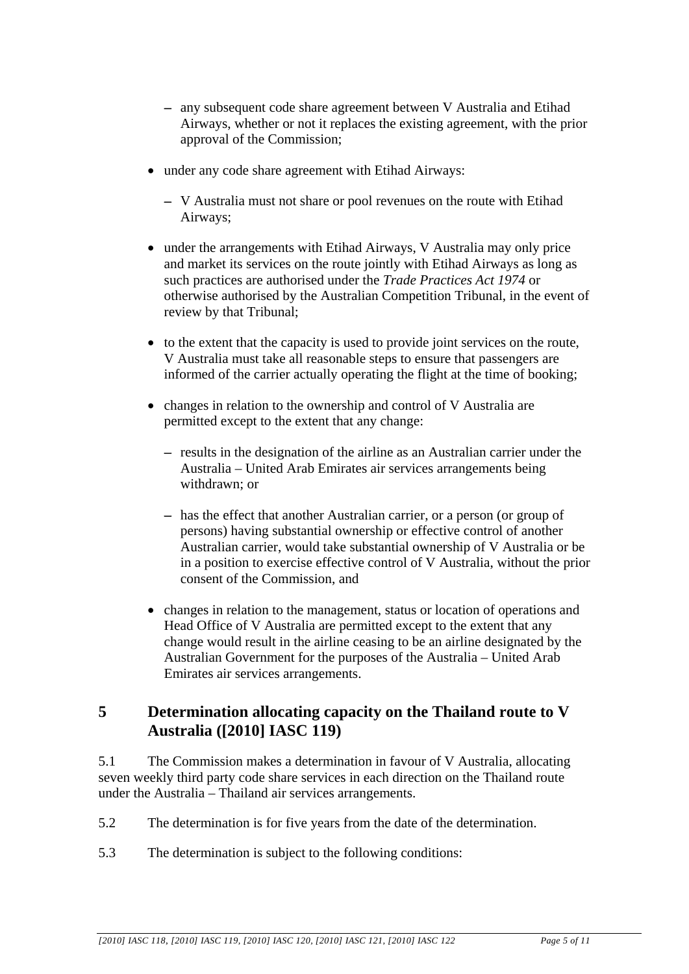- − any subsequent code share agreement between V Australia and Etihad Airways, whether or not it replaces the existing agreement, with the prior approval of the Commission;
- under any code share agreement with Etihad Airways:
	- − V Australia must not share or pool revenues on the route with Etihad Airways;
- under the arrangements with Etihad Airways, V Australia may only price and market its services on the route jointly with Etihad Airways as long as such practices are authorised under the *Trade Practices Act 1974* or otherwise authorised by the Australian Competition Tribunal, in the event of review by that Tribunal;
- to the extent that the capacity is used to provide joint services on the route, V Australia must take all reasonable steps to ensure that passengers are informed of the carrier actually operating the flight at the time of booking;
- changes in relation to the ownership and control of V Australia are permitted except to the extent that any change:
	- − results in the designation of the airline as an Australian carrier under the Australia – United Arab Emirates air services arrangements being withdrawn; or
	- − has the effect that another Australian carrier, or a person (or group of persons) having substantial ownership or effective control of another Australian carrier, would take substantial ownership of V Australia or be in a position to exercise effective control of V Australia, without the prior consent of the Commission, and
- changes in relation to the management, status or location of operations and Head Office of V Australia are permitted except to the extent that any change would result in the airline ceasing to be an airline designated by the Australian Government for the purposes of the Australia – United Arab Emirates air services arrangements.

### **5 Determination allocating capacity on the Thailand route to V Australia ([2010] IASC 119)**

5.1 The Commission makes a determination in favour of V Australia, allocating seven weekly third party code share services in each direction on the Thailand route under the Australia – Thailand air services arrangements.

- 5.2 The determination is for five years from the date of the determination.
- 5.3 The determination is subject to the following conditions: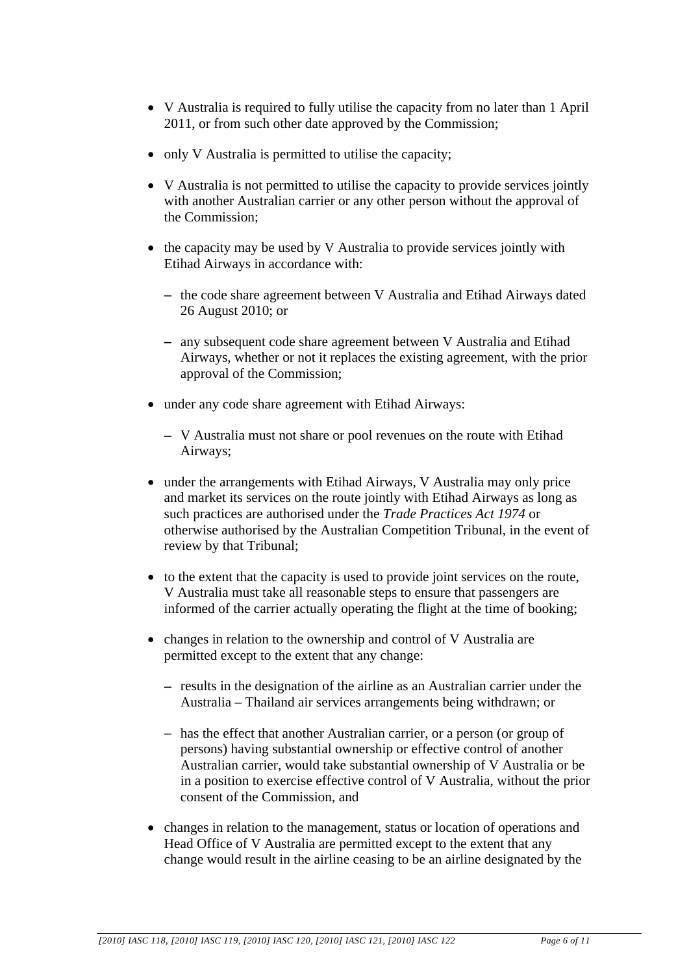- V Australia is required to fully utilise the capacity from no later than 1 April 2011, or from such other date approved by the Commission;
- only V Australia is permitted to utilise the capacity;
- V Australia is not permitted to utilise the capacity to provide services jointly with another Australian carrier or any other person without the approval of the Commission;
- the capacity may be used by V Australia to provide services jointly with Etihad Airways in accordance with:
	- − the code share agreement between V Australia and Etihad Airways dated 26 August 2010; or
	- − any subsequent code share agreement between V Australia and Etihad Airways, whether or not it replaces the existing agreement, with the prior approval of the Commission;
- under any code share agreement with Etihad Airways:
	- − V Australia must not share or pool revenues on the route with Etihad Airways;
- under the arrangements with Etihad Airways, V Australia may only price and market its services on the route jointly with Etihad Airways as long as such practices are authorised under the *Trade Practices Act 1974* or otherwise authorised by the Australian Competition Tribunal, in the event of review by that Tribunal;
- to the extent that the capacity is used to provide joint services on the route, V Australia must take all reasonable steps to ensure that passengers are informed of the carrier actually operating the flight at the time of booking;
- changes in relation to the ownership and control of V Australia are permitted except to the extent that any change:
	- − results in the designation of the airline as an Australian carrier under the Australia – Thailand air services arrangements being withdrawn; or
	- − has the effect that another Australian carrier, or a person (or group of persons) having substantial ownership or effective control of another Australian carrier, would take substantial ownership of V Australia or be in a position to exercise effective control of V Australia, without the prior consent of the Commission, and
- changes in relation to the management, status or location of operations and Head Office of V Australia are permitted except to the extent that any change would result in the airline ceasing to be an airline designated by the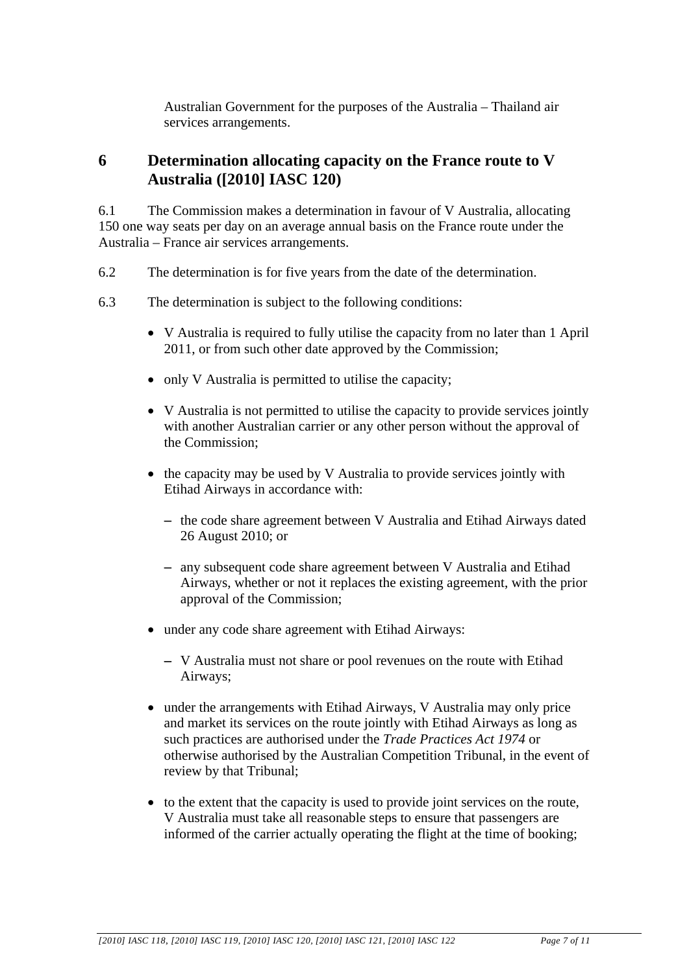Australian Government for the purposes of the Australia – Thailand air services arrangements.

### **6 Determination allocating capacity on the France route to V Australia ([2010] IASC 120)**

6.1 The Commission makes a determination in favour of V Australia, allocating 150 one way seats per day on an average annual basis on the France route under the Australia – France air services arrangements.

- 6.2 The determination is for five years from the date of the determination.
- 6.3 The determination is subject to the following conditions:
	- V Australia is required to fully utilise the capacity from no later than 1 April 2011, or from such other date approved by the Commission;
	- only V Australia is permitted to utilise the capacity;
	- V Australia is not permitted to utilise the capacity to provide services jointly with another Australian carrier or any other person without the approval of the Commission;
	- the capacity may be used by V Australia to provide services jointly with Etihad Airways in accordance with:
		- − the code share agreement between V Australia and Etihad Airways dated 26 August 2010; or
		- − any subsequent code share agreement between V Australia and Etihad Airways, whether or not it replaces the existing agreement, with the prior approval of the Commission;
	- under any code share agreement with Etihad Airways:
		- − V Australia must not share or pool revenues on the route with Etihad Airways;
	- under the arrangements with Etihad Airways, V Australia may only price and market its services on the route jointly with Etihad Airways as long as such practices are authorised under the *Trade Practices Act 1974* or otherwise authorised by the Australian Competition Tribunal, in the event of review by that Tribunal;
	- to the extent that the capacity is used to provide joint services on the route, V Australia must take all reasonable steps to ensure that passengers are informed of the carrier actually operating the flight at the time of booking;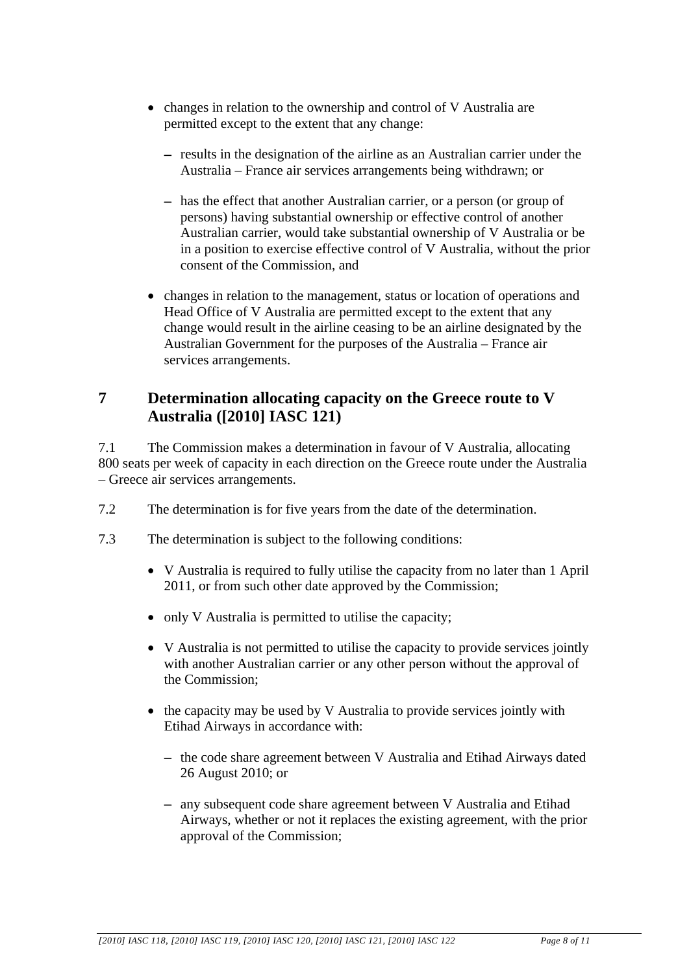- changes in relation to the ownership and control of V Australia are permitted except to the extent that any change:
	- − results in the designation of the airline as an Australian carrier under the Australia – France air services arrangements being withdrawn; or
	- − has the effect that another Australian carrier, or a person (or group of persons) having substantial ownership or effective control of another Australian carrier, would take substantial ownership of V Australia or be in a position to exercise effective control of V Australia, without the prior consent of the Commission, and
- changes in relation to the management, status or location of operations and Head Office of V Australia are permitted except to the extent that any change would result in the airline ceasing to be an airline designated by the Australian Government for the purposes of the Australia – France air services arrangements.

## **7 Determination allocating capacity on the Greece route to V Australia ([2010] IASC 121)**

7.1 The Commission makes a determination in favour of V Australia, allocating 800 seats per week of capacity in each direction on the Greece route under the Australia – Greece air services arrangements.

- 7.2 The determination is for five years from the date of the determination.
- 7.3 The determination is subject to the following conditions:
	- V Australia is required to fully utilise the capacity from no later than 1 April 2011, or from such other date approved by the Commission;
	- only V Australia is permitted to utilise the capacity;
	- V Australia is not permitted to utilise the capacity to provide services jointly with another Australian carrier or any other person without the approval of the Commission;
	- the capacity may be used by V Australia to provide services jointly with Etihad Airways in accordance with:
		- − the code share agreement between V Australia and Etihad Airways dated 26 August 2010; or
		- − any subsequent code share agreement between V Australia and Etihad Airways, whether or not it replaces the existing agreement, with the prior approval of the Commission;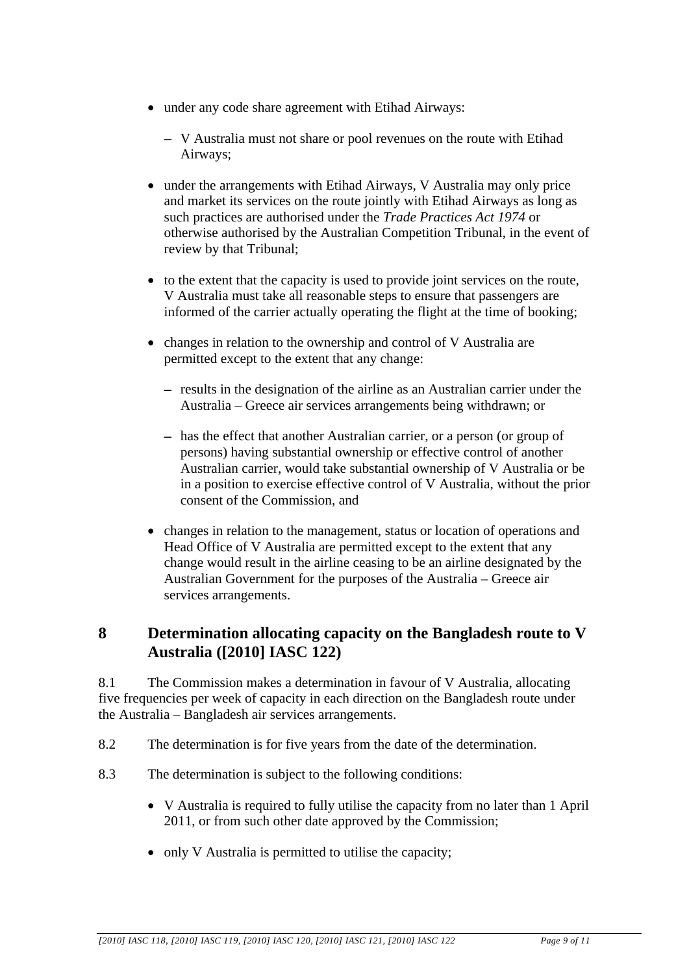- under any code share agreement with Etihad Airways:
	- − V Australia must not share or pool revenues on the route with Etihad Airways;
- under the arrangements with Etihad Airways, V Australia may only price and market its services on the route jointly with Etihad Airways as long as such practices are authorised under the *Trade Practices Act 1974* or otherwise authorised by the Australian Competition Tribunal, in the event of review by that Tribunal;
- to the extent that the capacity is used to provide joint services on the route, V Australia must take all reasonable steps to ensure that passengers are informed of the carrier actually operating the flight at the time of booking;
- changes in relation to the ownership and control of V Australia are permitted except to the extent that any change:
	- − results in the designation of the airline as an Australian carrier under the Australia – Greece air services arrangements being withdrawn; or
	- − has the effect that another Australian carrier, or a person (or group of persons) having substantial ownership or effective control of another Australian carrier, would take substantial ownership of V Australia or be in a position to exercise effective control of V Australia, without the prior consent of the Commission, and
- changes in relation to the management, status or location of operations and Head Office of V Australia are permitted except to the extent that any change would result in the airline ceasing to be an airline designated by the Australian Government for the purposes of the Australia – Greece air services arrangements.

## **8 Determination allocating capacity on the Bangladesh route to V Australia ([2010] IASC 122)**

8.1 The Commission makes a determination in favour of V Australia, allocating five frequencies per week of capacity in each direction on the Bangladesh route under the Australia – Bangladesh air services arrangements.

- 8.2 The determination is for five years from the date of the determination.
- 8.3 The determination is subject to the following conditions:
	- V Australia is required to fully utilise the capacity from no later than 1 April 2011, or from such other date approved by the Commission;
	- only V Australia is permitted to utilise the capacity;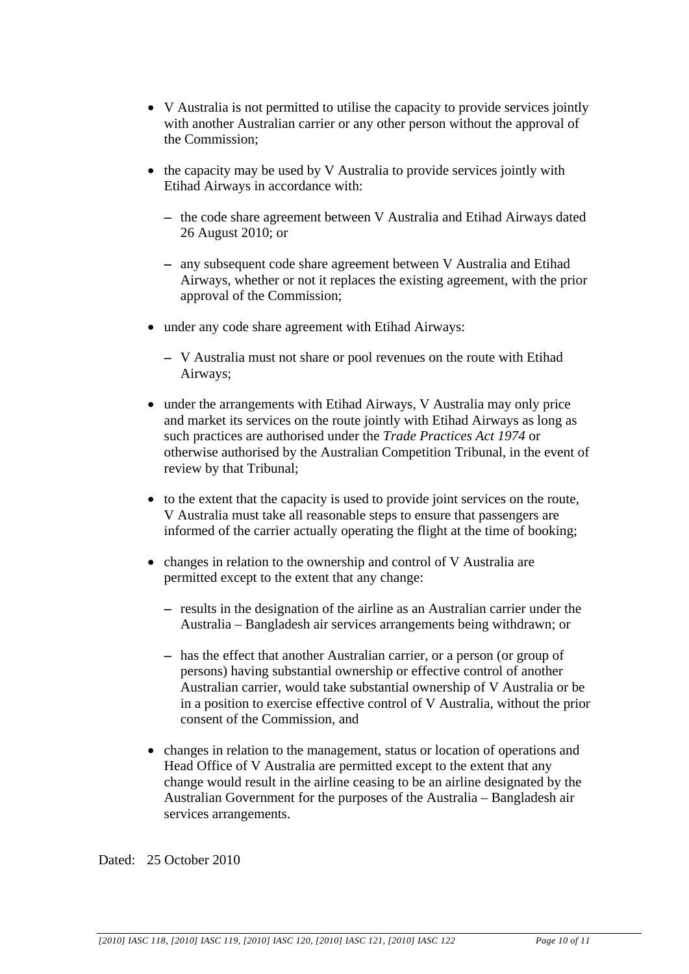- V Australia is not permitted to utilise the capacity to provide services jointly with another Australian carrier or any other person without the approval of the Commission;
- the capacity may be used by V Australia to provide services jointly with Etihad Airways in accordance with:
	- − the code share agreement between V Australia and Etihad Airways dated 26 August 2010; or
	- − any subsequent code share agreement between V Australia and Etihad Airways, whether or not it replaces the existing agreement, with the prior approval of the Commission;
- under any code share agreement with Etihad Airways:
	- − V Australia must not share or pool revenues on the route with Etihad Airways;
- under the arrangements with Etihad Airways, V Australia may only price and market its services on the route jointly with Etihad Airways as long as such practices are authorised under the *Trade Practices Act 1974* or otherwise authorised by the Australian Competition Tribunal, in the event of review by that Tribunal;
- to the extent that the capacity is used to provide joint services on the route, V Australia must take all reasonable steps to ensure that passengers are informed of the carrier actually operating the flight at the time of booking;
- changes in relation to the ownership and control of V Australia are permitted except to the extent that any change:
	- − results in the designation of the airline as an Australian carrier under the Australia – Bangladesh air services arrangements being withdrawn; or
	- − has the effect that another Australian carrier, or a person (or group of persons) having substantial ownership or effective control of another Australian carrier, would take substantial ownership of V Australia or be in a position to exercise effective control of V Australia, without the prior consent of the Commission, and
- changes in relation to the management, status or location of operations and Head Office of V Australia are permitted except to the extent that any change would result in the airline ceasing to be an airline designated by the Australian Government for the purposes of the Australia – Bangladesh air services arrangements.

Dated: 25 October 2010